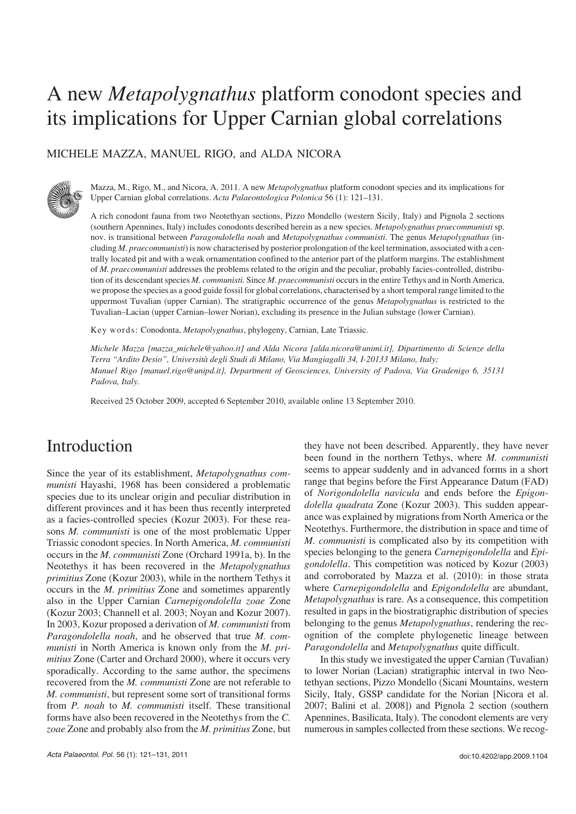# A new *Metapolygnathus* platform conodont species and its implications for Upper Carnian global correlations

### MICHELE MAZZA, MANUEL RIGO, and ALDA NICORA



Mazza, M., Rigo, M., and Nicora, A. 2011. A new *Metapolygnathus* platform conodont species and its implications for Upper Carnian global correlations. *Acta Palaeontologica Polonica* 56 (1): 121–131.

A rich conodont fauna from two Neotethyan sections, Pizzo Mondello (western Sicily, Italy) and Pignola 2 sections (southern Apennines, Italy) includes conodonts described herein as a new species. *Metapolygnathus praecommunisti* sp. nov. is transitional between *Paragondolella noah* and *Metapolygnathus communisti*. The genus *Metapolygnathus* (in− cluding *M. praecommunisti*) is now characterised by posterior prolongation of the keel termination, associated with a cen− trally located pit and with a weak ornamentation confined to the anterior part of the platform margins. The establishment of *M. praecommunisti* addresses the problems related to the origin and the peculiar, probably facies−controlled, distribu− tion of its descendant species *M. communisti.* Since *M. praecommunisti* occurs in the entire Tethys and in North America, we propose the species as a good guide fossil for global correlations, characterised by a short temporal range limited to the uppermost Tuvalian (upper Carnian). The stratigraphic occurrence of the genus *Metapolygnathus* is restricted to the Tuvalian–Lacian (upper Carnian–lower Norian), excluding its presence in the Julian substage (lower Carnian).

Key words: Conodonta, *Metapolygnathus*, phylogeny, Carnian, Late Triassic.

*Michele Mazza [mazza\_michele@yahoo.it] and Alda Nicora [alda.nicora@unimi.it], Dipartimento di Scienze della Terra "Ardito Desio", Università degli Studi di Milano, Via Mangiagalli 34, I−20133 Milano, Italy; Manuel Rigo [manuel.rigo@unipd.it], Department of Geosciences, University of Padova, Via Gradenigo 6, 35131 Padova, Italy.*

Received 25 October 2009, accepted 6 September 2010, available online 13 September 2010.

### Introduction

Since the year of its establishment, *Metapolygnathus com− munisti* Hayashi, 1968 has been considered a problematic species due to its unclear origin and peculiar distribution in different provinces and it has been thus recently interpreted as a facies−controlled species (Kozur 2003). For these rea− sons *M. communisti* is one of the most problematic Upper Triassic conodont species. In North America, *M. communisti* occurs in the *M. communisti* Zone (Orchard 1991a, b). In the Neotethys it has been recovered in the *Metapolygnathus primitius* Zone (Kozur 2003), while in the northern Tethys it occurs in the *M. primitius* Zone and sometimes apparently also in the Upper Carnian *Carnepigondolella zoae* Zone (Kozur 2003; Channell et al. 2003; Noyan and Kozur 2007). In 2003, Kozur proposed a derivation of *M. communisti* from *Paragondolella noah*, and he observed that true *M. com− munisti* in North America is known only from the *M. pri− mitius* Zone (Carter and Orchard 2000), where it occurs very sporadically. According to the same author, the specimens recovered from the *M. communisti* Zone are not referable to *M. communisti*, but represent some sort of transitional forms from *P. noah* to *M. communisti* itself. These transitional forms have also been recovered in the Neotethys from the *C. zoae* Zone and probably also from the *M. primitius* Zone, but they have not been described. Apparently, they have never been found in the northern Tethys, where *M. communisti* seems to appear suddenly and in advanced forms in a short range that begins before the First Appearance Datum (FAD) of *Norigondolella navicula* and ends before the *Epigon− dolella quadrata* Zone (Kozur 2003). This sudden appear− ance was explained by migrations from North America or the Neotethys. Furthermore, the distribution in space and time of *M. communisti* is complicated also by its competition with species belonging to the genera *Carnepigondolella* and *Epi− gondolella*. This competition was noticed by Kozur (2003) and corroborated by Mazza et al. (2010): in those strata where *Carnepigondolella* and *Epigondolella* are abundant, *Metapolygnathus* is rare. As a consequence, this competition resulted in gaps in the biostratigraphic distribution of species belonging to the genus *Metapolygnathus*, rendering the rec− ognition of the complete phylogenetic lineage between *Paragondolella* and *Metapolygnathus* quite difficult.

In this study we investigated the upper Carnian (Tuvalian) to lower Norian (Lacian) stratigraphic interval in two Neo− tethyan sections, Pizzo Mondello (Sicani Mountains, western Sicily, Italy, GSSP candidate for the Norian [Nicora et al. 2007; Balini et al. 2008]) and Pignola 2 section (southern Apennines, Basilicata, Italy). The conodont elements are very numerous in samples collected from these sections. We recog−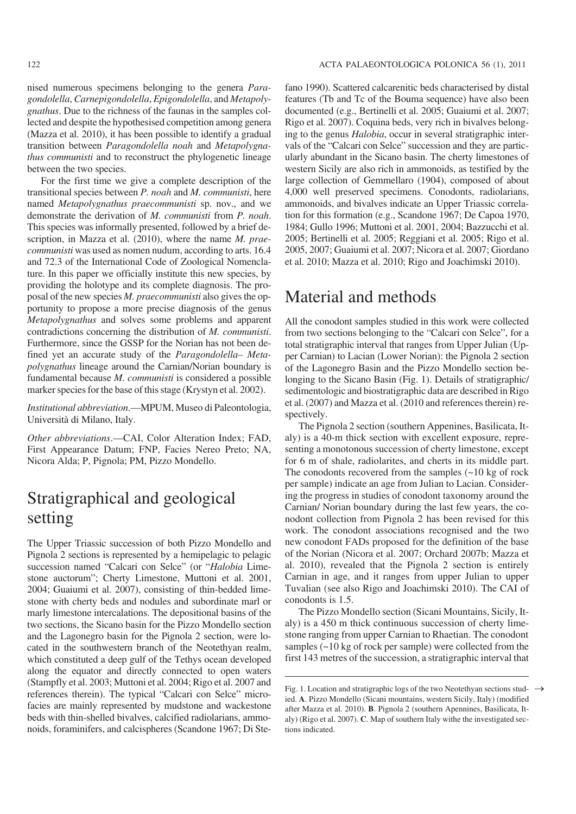nised numerous specimens belonging to the genera *Para− gondolella*, *Carnepigondolella*, *Epigondolella*, and *Metapoly− gnathus*. Due to the richness of the faunas in the samples col− lected and despite the hypothesised competition among genera (Mazza et al. 2010), it has been possible to identify a gradual transition between *Paragondolella noah* and *Metapolygna− thus communisti* and to reconstruct the phylogenetic lineage between the two species.

For the first time we give a complete description of the transitional species between *P. noah* and *M. communisti*, here named *Metapolygnathus praecommunisti* sp. nov., and we demonstrate the derivation of *M. communisti* from *P. noah*. This species was informally presented, followed by a brief de− scription, in Mazza et al. (2010), where the name *M. prae− communisti* was used as nomen nudum, according to arts. 16.4 and 72.3 of the International Code of Zoological Nomencla− ture. In this paper we officially institute this new species, by providing the holotype and its complete diagnosis. The pro− posal of the new species *M. praecommunisti* also gives the op− portunity to propose a more precise diagnosis of the genus *Metapolygnathus* and solves some problems and apparent contradictions concerning the distribution of *M. communisti*. Furthermore, since the GSSP for the Norian has not been de− fined yet an accurate study of the *Paragondolella– Meta− polygnathus* lineage around the Carnian/Norian boundary is fundamental because *M. communisti* is considered a possible marker species for the base of this stage (Krystyn et al. 2002).

*Institutional abbreviation*.—MPUM, Museo di Paleontologia, Università di Milano, Italy.

*Other abbreviations*.—CAI, Color Alteration Index; FAD, First Appearance Datum; FNP, Facies Nereo Preto; NA, Nicora Alda; P, Pignola; PM, Pizzo Mondello.

### Stratigraphical and geological setting

The Upper Triassic succession of both Pizzo Mondello and Pignola 2 sections is represented by a hemipelagic to pelagic succession named "Calcari con Selce" (or "*Halobia* Lime− stone auctorum"; Cherty Limestone, Muttoni et al. 2001, 2004; Guaiumi et al. 2007), consisting of thin−bedded lime− stone with cherty beds and nodules and subordinate marl or marly limestone intercalations. The depositional basins of the two sections, the Sicano basin for the Pizzo Mondello section and the Lagonegro basin for the Pignola 2 section, were lo− cated in the southwestern branch of the Neotethyan realm, which constituted a deep gulf of the Tethys ocean developed along the equator and directly connected to open waters (Stampfly et al. 2003; Muttoni et al. 2004; Rigo et al. 2007 and references therein). The typical "Calcari con Selce" micro− facies are mainly represented by mudstone and wackestone beds with thin−shelled bivalves, calcified radiolarians, ammo− noids, foraminifers, and calcispheres (Scandone 1967; Di Ste− fano 1990). Scattered calcarenitic beds characterised by distal features (Tb and Tc of the Bouma sequence) have also been documented (e.g., Bertinelli et al. 2005; Guaiumi et al. 2007; Rigo et al. 2007). Coquina beds, very rich in bivalves belong− ing to the genus *Halobia*, occur in several stratigraphic inter− vals of the "Calcari con Selce" succession and they are partic− ularly abundant in the Sicano basin. The cherty limestones of western Sicily are also rich in ammonoids, as testified by the large collection of Gemmellaro (1904), composed of about 4,000 well preserved specimens. Conodonts, radiolarians, ammonoids, and bivalves indicate an Upper Triassic correla− tion for this formation (e.g., Scandone 1967; De Capoa 1970, 1984; Gullo 1996; Muttoni et al. 2001, 2004; Bazzucchi et al. 2005; Bertinelli et al. 2005; Reggiani et al. 2005; Rigo et al. 2005, 2007; Guaiumi et al. 2007; Nicora et al. 2007; Giordano et al. 2010; Mazza et al. 2010; Rigo and Joachimski 2010).

### Material and methods

All the conodont samples studied in this work were collected from two sections belonging to the "Calcari con Selce", for a total stratigraphic interval that ranges from Upper Julian (Up− per Carnian) to Lacian (Lower Norian): the Pignola 2 section of the Lagonegro Basin and the Pizzo Mondello section be− longing to the Sicano Basin (Fig. 1). Details of stratigraphic/ sedimentologic and biostratigraphic data are described in Rigo et al. (2007) and Mazza et al. (2010 and references therein) re− spectively.

The Pignola 2 section (southern Appenines, Basilicata, It− aly) is a 40−m thick section with excellent exposure, repre− senting a monotonous succession of cherty limestone, except for 6 m of shale, radiolarites, and cherts in its middle part. The conodonts recovered from the samples (~10 kg of rock per sample) indicate an age from Julian to Lacian. Consider− ing the progress in studies of conodont taxonomy around the Carnian/ Norian boundary during the last few years, the co− nodont collection from Pignola 2 has been revised for this work. The conodont associations recognised and the two new conodont FADs proposed for the definition of the base of the Norian (Nicora et al. 2007; Orchard 2007b; Mazza et al. 2010), revealed that the Pignola 2 section is entirely Carnian in age, and it ranges from upper Julian to upper Tuvalian (see also Rigo and Joachimski 2010). The CAI of conodonts is 1.5.

The Pizzo Mondello section (Sicani Mountains, Sicily, It− aly) is a 450 m thick continuous succession of cherty lime− stone ranging from upper Carnian to Rhaetian. The conodont samples (~10 kg of rock per sample) were collected from the first 143 metres of the succession, a stratigraphic interval that

Fig. 1. Location and stratigraphic logs of the two Neotethyan sections stud- → ied. **A**. Pizzo Mondello (Sicani mountains, western Sicily, Italy) (modified after Mazza et al. 2010). **B**. Pignola 2 (southern Apennines, Basilicata, It− aly) (Rigo et al. 2007). **C**. Map of southern Italy withe the investigated sec− tions indicated.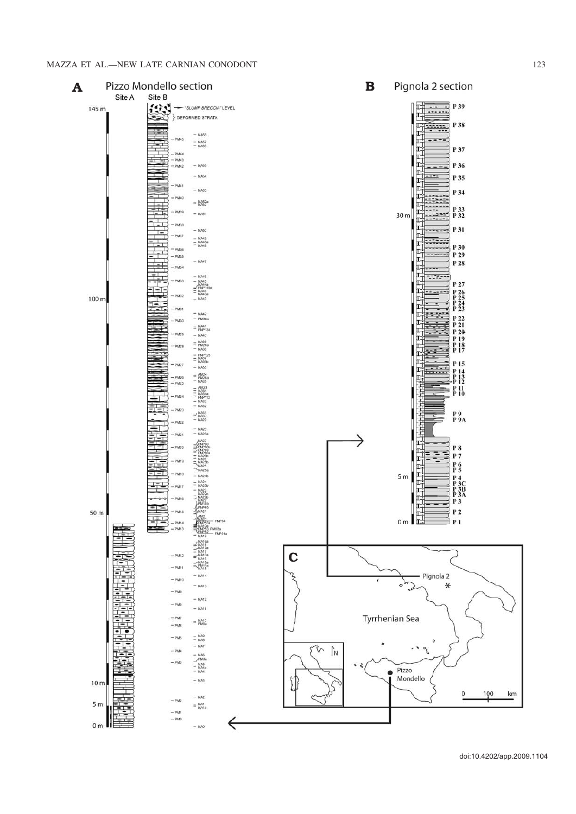

doi:10.4202/app.2009.1104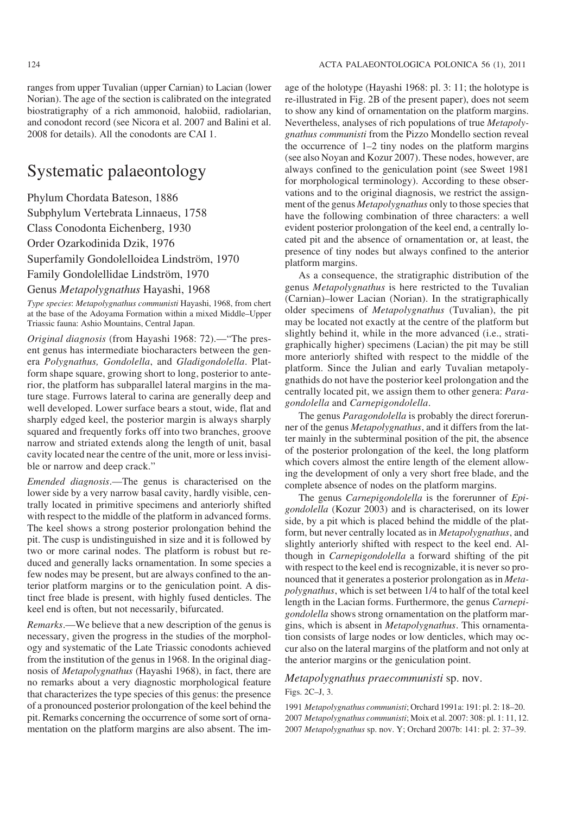ranges from upper Tuvalian (upper Carnian) to Lacian (lower Norian). The age of the section is calibrated on the integrated biostratigraphy of a rich ammonoid, halobiid, radiolarian, and conodont record (see Nicora et al. 2007 and Balini et al. 2008 for details). All the conodonts are CAI 1.

### Systematic palaeontology

Phylum Chordata Bateson, 1886 Subphylum Vertebrata Linnaeus, 1758 Class Conodonta Eichenberg, 1930 Order Ozarkodinida Dzik, 1976 Superfamily Gondolelloidea Lindström, 1970 Family Gondolellidae Lindström, 1970 Genus *Metapolygnathus* Hayashi, 1968

*Type species*: *Metapolygnathus communisti* Hayashi, 1968, from chert at the base of the Adoyama Formation within a mixed Middle–Upper Triassic fauna: Ashio Mountains, Central Japan.

*Original diagnosis* (from Hayashi 1968: 72).—"The pres− ent genus has intermediate biocharacters between the gen− era *Polygnathus, Gondolella*, and *Gladigondolella*. Plat− form shape square, growing short to long, posterior to ante− rior, the platform has subparallel lateral margins in the ma− ture stage. Furrows lateral to carina are generally deep and well developed. Lower surface bears a stout, wide, flat and sharply edged keel, the posterior margin is always sharply squared and frequently forks off into two branches, groove narrow and striated extends along the length of unit, basal cavity located near the centre of the unit, more or less invisi− ble or narrow and deep crack."

*Emended diagnosis*.—The genus is characterised on the lower side by a very narrow basal cavity, hardly visible, cen− trally located in primitive specimens and anteriorly shifted with respect to the middle of the platform in advanced forms. The keel shows a strong posterior prolongation behind the pit. The cusp is undistinguished in size and it is followed by two or more carinal nodes. The platform is robust but re− duced and generally lacks ornamentation. In some species a few nodes may be present, but are always confined to the an− terior platform margins or to the geniculation point. A dis− tinct free blade is present, with highly fused denticles. The keel end is often, but not necessarily, bifurcated.

*Remarks*.—We believe that a new description of the genus is necessary, given the progress in the studies of the morphol− ogy and systematic of the Late Triassic conodonts achieved from the institution of the genus in 1968. In the original diag− nosis of *Metapolygnathus* (Hayashi 1968), in fact, there are no remarks about a very diagnostic morphological feature that characterizes the type species of this genus: the presence of a pronounced posterior prolongation of the keel behind the pit. Remarks concerning the occurrence of some sort of orna− mentation on the platform margins are also absent. The im−

age of the holotype (Hayashi 1968: pl. 3: 11; the holotype is re−illustrated in Fig. 2B of the present paper), does not seem to show any kind of ornamentation on the platform margins. Nevertheless, analyses of rich populations of true *Metapoly− gnathus communisti* from the Pizzo Mondello section reveal the occurrence of 1–2 tiny nodes on the platform margins (see also Noyan and Kozur 2007). These nodes, however, are always confined to the geniculation point (see Sweet 1981 for morphological terminology). According to these obser− vations and to the original diagnosis, we restrict the assign− ment of the genus *Metapolygnathus* only to those species that have the following combination of three characters: a well evident posterior prolongation of the keel end, a centrally lo− cated pit and the absence of ornamentation or, at least, the presence of tiny nodes but always confined to the anterior platform margins.

As a consequence, the stratigraphic distribution of the genus *Metapolygnathus* is here restricted to the Tuvalian (Carnian)–lower Lacian (Norian). In the stratigraphically older specimens of *Metapolygnathus* (Tuvalian), the pit may be located not exactly at the centre of the platform but slightly behind it, while in the more advanced (i.e., strati− graphically higher) specimens (Lacian) the pit may be still more anteriorly shifted with respect to the middle of the platform. Since the Julian and early Tuvalian metapoly− gnathids do not have the posterior keel prolongation and the centrally located pit, we assign them to other genera: *Para− gondolella* and *Carnepigondolella*.

The genus *Paragondolella* is probably the direct forerun− ner of the genus *Metapolygnathus*, and it differs from the lat− ter mainly in the subterminal position of the pit, the absence of the posterior prolongation of the keel, the long platform which covers almost the entire length of the element allow− ing the development of only a very short free blade, and the complete absence of nodes on the platform margins.

The genus *Carnepigondolella* is the forerunner of *Epi− gondolella* (Kozur 2003) and is characterised, on its lower side, by a pit which is placed behind the middle of the plat− form, but never centrally located as in *Metapolygnathus*, and slightly anteriorly shifted with respect to the keel end. Al− though in *Carnepigondolella* a forward shifting of the pit with respect to the keel end is recognizable, it is never so pro− nounced that it generates a posterior prolongation as in *Meta− polygnathus*, which is set between 1/4 to half of the total keel length in the Lacian forms. Furthermore, the genus *Carnepi− gondolella* shows strong ornamentation on the platform mar gins, which is absent in *Metapolygnathus*. This ornamenta− tion consists of large nodes or low denticles, which may oc− cur also on the lateral margins of the platform and not only at the anterior margins or the geniculation point.

#### *Metapolygnathus praecommunisti* sp. nov. Figs. 2C–J, 3.

1991 *Metapolygnathus communisti*; Orchard 1991a: 191: pl. 2: 18–20. 2007 *Metapolygnathus communisti*; Moix et al. 2007: 308: pl. 1: 11, 12. 2007 *Metapolygnathus* sp. nov. Y; Orchard 2007b: 141: pl. 2: 37–39.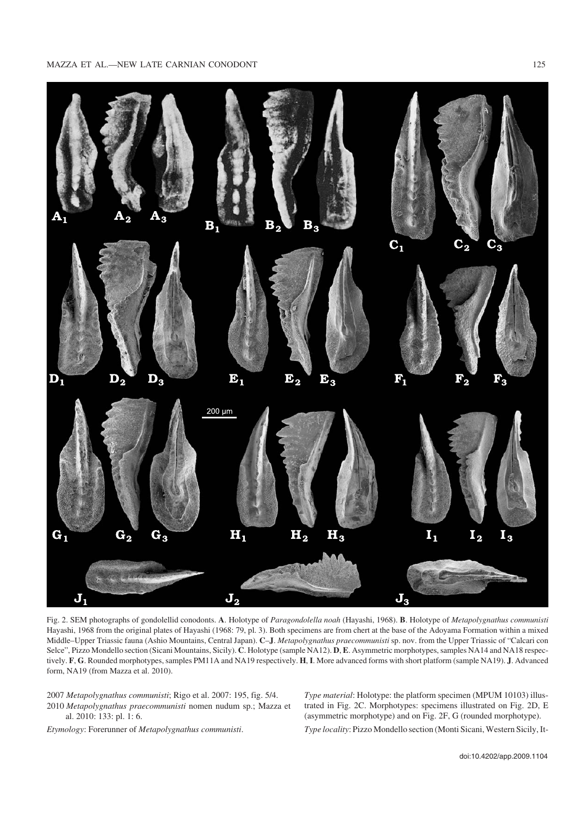

Fig. 2. SEM photographs of gondolellid conodonts. **A**. Holotype of *Paragondolella noah* (Hayashi, 1968). **B**. Holotype of *Metapolygnathus communisti* Hayashi, 1968 from the original plates of Hayashi (1968: 79, pl. 3). Both specimens are from chert at the base of the Adoyama Formation within a mixed Middle–Upper Triassic fauna (Ashio Mountains, Central Japan). **C**–**J**. *Metapolygnathus praecommunisti* sp. nov. from the Upper Triassic of "Calcari con Selce", Pizzo Mondello section (Sicani Mountains, Sicily). **C**. Holotype (sample NA12). **D**, **E**. Asymmetric morphotypes, samples NA14 and NA18 respec− tively. **F**, **G**. Rounded morphotypes, samples PM11A and NA19 respectively. **H**, **I**. More advanced forms with short platform (sample NA19). **J**. Advanced form, NA19 (from Mazza et al. 2010).

2007 *Metapolygnathus communisti*; Rigo et al. 2007: 195, fig. 5/4. 2010 *Metapolygnathus praecommunisti* nomen nudum sp.; Mazza et al. 2010: 133: pl. 1: 6.

*Etymology*: Forerunner of *Metapolygnathus communisti*.

*Type material*: Holotype: the platform specimen (MPUM 10103) illustrated in Fig. 2C. Morphotypes: specimens illustrated on Fig. 2D, E (asymmetric morphotype) and on Fig. 2F, G (rounded morphotype). *Type locality*: Pizzo Mondello section (Monti Sicani, Western Sicily, It−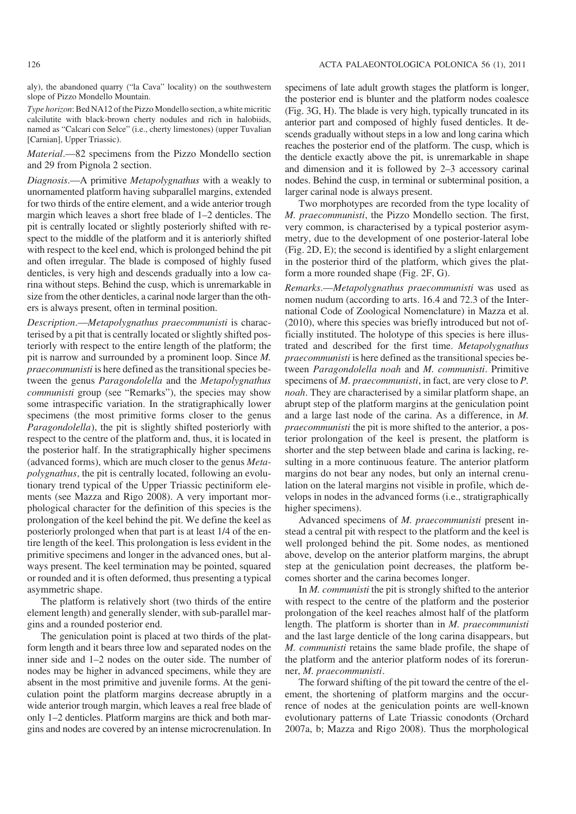aly), the abandoned quarry ("la Cava" locality) on the southwestern slope of Pizzo Mondello Mountain.

*Type horizon*: Bed NA12 of the Pizzo Mondello section, a white micritic calcilutite with black−brown cherty nodules and rich in halobiids, named as "Calcari con Selce" (i.e., cherty limestones) (upper Tuvalian [Carnian], Upper Triassic).

*Material*.—82 specimens from the Pizzo Mondello section and 29 from Pignola 2 section.

*Diagnosis*.—A primitive *Metapolygnathus* with a weakly to unornamented platform having subparallel margins, extended for two thirds of the entire element, and a wide anterior trough margin which leaves a short free blade of 1–2 denticles. The pit is centrally located or slightly posteriorly shifted with re− spect to the middle of the platform and it is anteriorly shifted with respect to the keel end, which is prolonged behind the pit and often irregular. The blade is composed of highly fused denticles, is very high and descends gradually into a low ca− rina without steps. Behind the cusp, which is unremarkable in size from the other denticles, a carinal node larger than the oth− ers is always present, often in terminal position.

*Description*.—*Metapolygnathus praecommunisti* is charac− terised by a pit that is centrally located or slightly shifted pos− teriorly with respect to the entire length of the platform; the pit is narrow and surrounded by a prominent loop. Since *M. praecommunisti* is here defined as the transitional species be− tween the genus *Paragondolella* and the *Metapolygnathus communisti* group (see "Remarks"), the species may show some intraspecific variation. In the stratigraphically lower specimens (the most primitive forms closer to the genus *Paragondolella*), the pit is slightly shifted posteriorly with respect to the centre of the platform and, thus, it is located in the posterior half. In the stratigraphically higher specimens (advanced forms), which are much closer to the genus *Meta− polygnathus*, the pit is centrally located, following an evolutionary trend typical of the Upper Triassic pectiniform ele− ments (see Mazza and Rigo 2008). A very important mor− phological character for the definition of this species is the prolongation of the keel behind the pit. We define the keel as posteriorly prolonged when that part is at least 1/4 of the en− tire length of the keel. This prolongation is less evident in the primitive specimens and longer in the advanced ones, but al− ways present. The keel termination may be pointed, squared or rounded and it is often deformed, thus presenting a typical asymmetric shape.

The platform is relatively short (two thirds of the entire element length) and generally slender, with sub−parallel mar− gins and a rounded posterior end.

The geniculation point is placed at two thirds of the plat− form length and it bears three low and separated nodes on the inner side and 1–2 nodes on the outer side. The number of nodes may be higher in advanced specimens, while they are absent in the most primitive and juvenile forms. At the geni− culation point the platform margins decrease abruptly in a wide anterior trough margin, which leaves a real free blade of only 1–2 denticles. Platform margins are thick and both mar− gins and nodes are covered by an intense microcrenulation. In

specimens of late adult growth stages the platform is longer, the posterior end is blunter and the platform nodes coalesce (Fig. 3G, H). The blade is very high, typically truncated in its anterior part and composed of highly fused denticles. It de− scends gradually without steps in a low and long carina which reaches the posterior end of the platform. The cusp, which is the denticle exactly above the pit, is unremarkable in shape and dimension and it is followed by 2–3 accessory carinal nodes. Behind the cusp, in terminal or subterminal position, a larger carinal node is always present.

Two morphotypes are recorded from the type locality of *M. praecommunisti*, the Pizzo Mondello section. The first, very common, is characterised by a typical posterior asym− metry, due to the development of one posterior−lateral lobe (Fig. 2D, E); the second is identified by a slight enlargement in the posterior third of the platform, which gives the plat− form a more rounded shape (Fig. 2F, G).

*Remarks*.—*Metapolygnathus praecommunisti* was used as nomen nudum (according to arts. 16.4 and 72.3 of the Inter− national Code of Zoological Nomenclature) in Mazza et al. (2010), where this species was briefly introduced but not of− ficially instituted. The holotype of this species is here illus− trated and described for the first time. *Metapolygnathus praecommunisti* is here defined as the transitional species be− tween *Paragondolella noah* and *M. communisti*. Primitive specimens of *M. praecommunisti*, in fact, are very close to *P. noah*. They are characterised by a similar platform shape, an abrupt step of the platform margins at the geniculation point and a large last node of the carina. As a difference, in *M. praecommunisti* the pit is more shifted to the anterior, a posterior prolongation of the keel is present, the platform is shorter and the step between blade and carina is lacking, re− sulting in a more continuous feature. The anterior platform margins do not bear any nodes, but only an internal crenu− lation on the lateral margins not visible in profile, which de− velops in nodes in the advanced forms (i.e., stratigraphically higher specimens).

Advanced specimens of *M. praecommunisti* present in− stead a central pit with respect to the platform and the keel is well prolonged behind the pit. Some nodes, as mentioned above, develop on the anterior platform margins, the abrupt step at the geniculation point decreases, the platform be− comes shorter and the carina becomes longer.

In *M. communisti* the pit is strongly shifted to the anterior with respect to the centre of the platform and the posterior prolongation of the keel reaches almost half of the platform length. The platform is shorter than in *M. praecommunisti* and the last large denticle of the long carina disappears, but *M. communisti* retains the same blade profile, the shape of the platform and the anterior platform nodes of its forerun− ner, *M. praecommunisti*.

The forward shifting of the pit toward the centre of the el− ement, the shortening of platform margins and the occur− rence of nodes at the geniculation points are well−known evolutionary patterns of Late Triassic conodonts (Orchard 2007a, b; Mazza and Rigo 2008). Thus the morphological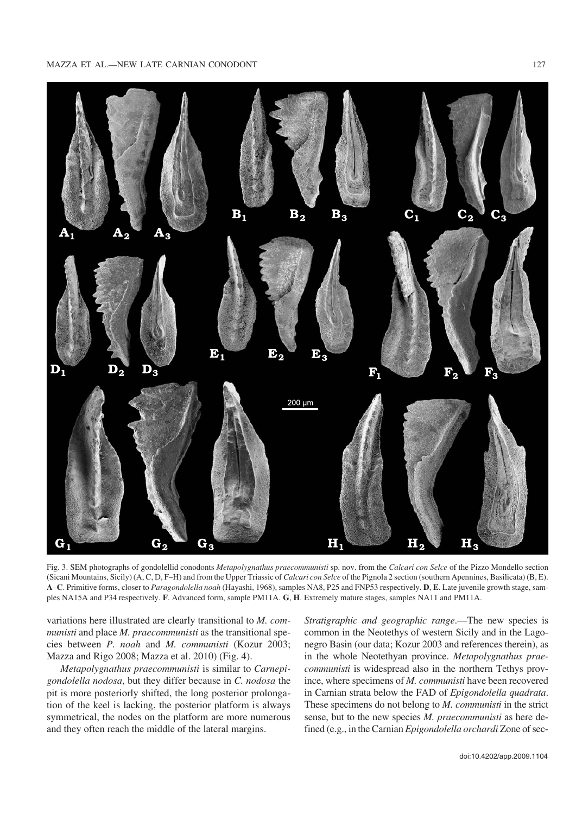#### MAZZA ET AL.—NEW LATE CARNIAN CONODONT 127



Fig. 3. SEM photographs of gondolellid conodonts *Metapolygnathus praecommunisti* sp. nov. from the *Calcari con Selce* of the Pizzo Mondello section (Sicani Mountains, Sicily) (A, C, D, F–H) and from the Upper Triassic of *Calcari con Selce* of the Pignola 2 section (southern Apennines, Basilicata) (B, E). **A**–**C**. Primitive forms, closer to *Paragondolella noah* (Hayashi, 1968), samples NA8, P25 and FNP53 respectively. **D**, **E**. Late juvenile growth stage, sam− ples NA15A and P34 respectively. **F**. Advanced form, sample PM11A. **G**, **H**. Extremely mature stages, samples NA11 and PM11A.

variations here illustrated are clearly transitional to *M. com− munisti* and place *M. praecommunisti* as the transitional spe− cies between *P. noah* and *M. communisti* (Kozur 2003; Mazza and Rigo 2008; Mazza et al. 2010) (Fig. 4).

*Metapolygnathus praecommunisti* is similar to *Carnepi− gondolella nodosa*, but they differ because in *C. nodosa* the pit is more posteriorly shifted, the long posterior prolonga− tion of the keel is lacking, the posterior platform is always symmetrical, the nodes on the platform are more numerous and they often reach the middle of the lateral margins.

*Stratigraphic and geographic range*.—The new species is common in the Neotethys of western Sicily and in the Lago− negro Basin (our data; Kozur 2003 and references therein), as in the whole Neotethyan province. *Metapolygnathus prae− communisti* is widespread also in the northern Tethys prov− ince, where specimens of *M. communisti* have been recovered in Carnian strata below the FAD of *Epigondolella quadrata*. These specimens do not belong to *M. communisti* in the strict sense, but to the new species *M. praecommunisti* as here de− fined (e.g., in the Carnian *Epigondolella orchardi* Zone of sec−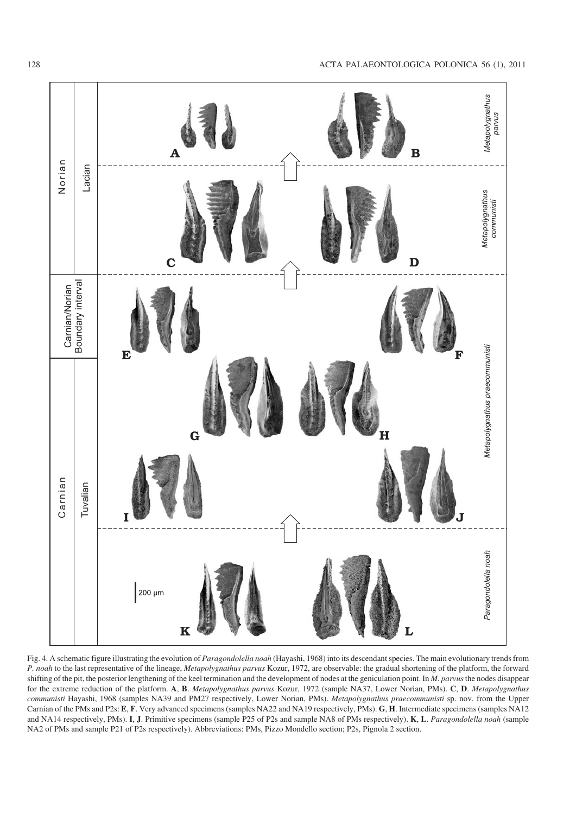

Fig. 4. A schematic figure illustrating the evolution of *Paragondolella noah* (Hayashi, 1968) into its descendant species. The main evolutionary trends from *P. noah* to the last representative of the lineage, *Metapolygnathus parvus* Kozur, 1972, are observable: the gradual shortening of the platform, the forward shifting of the pit, the posterior lengthening of the keel termination and the development of nodes at the geniculation point. In *M. parvus*the nodes disappear for the extreme reduction of the platform. **A**, **B**. *Metapolygnathus parvus* Kozur, 1972 (sample NA37, Lower Norian, PMs). **C**, **D**. *Metapolygnathus communisti* Hayashi, 1968 (samples NA39 and PM27 respectively, Lower Norian, PMs). *Metapolygnathus praecommunisti* sp. nov. from the Upper Carnian of the PMs and P2s: **E**, **F**. Very advanced specimens (samples NA22 and NA19 respectively, PMs). **G**, **H**. Intermediate specimens (samples NA12 and NA14 respectively, PMs). **I**, **J**. Primitive specimens (sample P25 of P2s and sample NA8 of PMs respectively). **K**, **L**. *Paragondolella noah* (sample NA2 of PMs and sample P21 of P2s respectively). Abbreviations: PMs, Pizzo Mondello section; P2s, Pignola 2 section.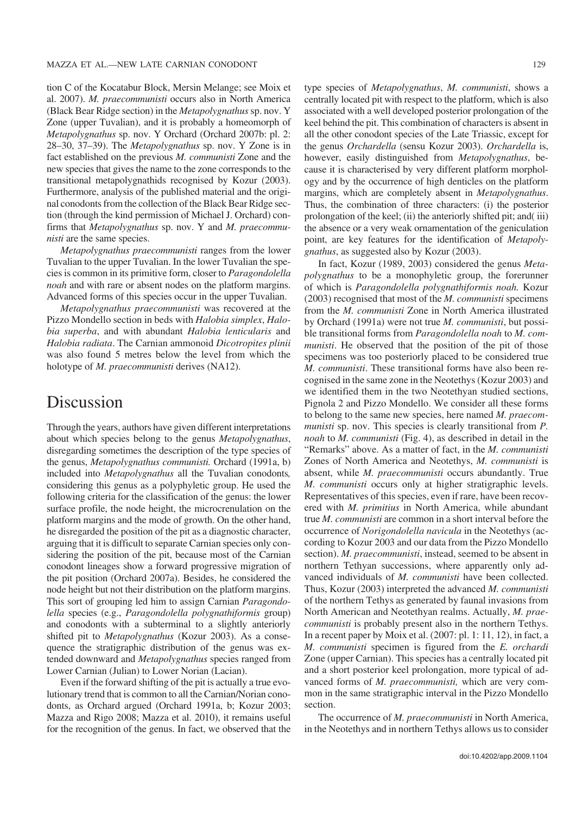tion C of the Kocatabur Block, Mersin Melange; see Moix et al. 2007). *M. praecommunisti* occurs also in North America (Black Bear Ridge section) in the *Metapolygnathus*sp. nov. Y Zone (upper Tuvalian), and it is probably a homeomorph of *Metapolygnathus* sp. nov. Y Orchard (Orchard 2007b: pl. 2: 28–30, 37–39). The *Metapolygnathus* sp. nov. Y Zone is in fact established on the previous *M. communisti* Zone and the new species that gives the name to the zone corresponds to the transitional metapolygnathids recognised by Kozur (2003). Furthermore, analysis of the published material and the origi− nal conodonts from the collection of the Black Bear Ridge sec− tion (through the kind permission of Michael J. Orchard) con− firms that *Metapolygnathus* sp. nov. Y and *M. praecommu− nisti* are the same species.

*Metapolygnathus praecommunisti* ranges from the lower Tuvalian to the upper Tuvalian. In the lower Tuvalian the spe− cies is common in its primitive form, closer to *Paragondolella noah* and with rare or absent nodes on the platform margins. Advanced forms of this species occur in the upper Tuvalian.

*Metapolygnathus praecommunisti* was recovered at the Pizzo Mondello section in beds with *Halobia simplex*, *Halo− bia superba*, and with abundant *Halobia lenticularis* and *Halobia radiata*. The Carnian ammonoid *Dicotropites plinii* was also found 5 metres below the level from which the holotype of *M. praecommunisti* derives (NA12).

### Discussion

Through the years, authors have given different interpretations about which species belong to the genus *Metapolygnathus*, disregarding sometimes the description of the type species of the genus, *Metapolygnathus communisti.* Orchard (1991a, b) included into *Metapolygnathus* all the Tuvalian conodonts*,* considering this genus as a polyphyletic group. He used the following criteria for the classification of the genus: the lower surface profile, the node height, the microcrenulation on the platform margins and the mode of growth. On the other hand, he disregarded the position of the pit as a diagnostic character, arguing that it is difficult to separate Carnian species only con− sidering the position of the pit, because most of the Carnian conodont lineages show a forward progressive migration of the pit position (Orchard 2007a). Besides, he considered the node height but not their distribution on the platform margins. This sort of grouping led him to assign Carnian *Paragondo− lella* species (e.g., *Paragondolella polygnathiformis* group) and conodonts with a subterminal to a slightly anteriorly shifted pit to *Metapolygnathus* (Kozur 2003). As a conse− quence the stratigraphic distribution of the genus was ex− tended downward and *Metapolygnathus* species ranged from Lower Carnian (Julian) to Lower Norian (Lacian).

Even if the forward shifting of the pit is actually a true evo− lutionary trend that is common to all the Carnian/Norian cono− donts, as Orchard argued (Orchard 1991a, b; Kozur 2003; Mazza and Rigo 2008; Mazza et al. 2010), it remains useful for the recognition of the genus. In fact, we observed that the type species of *Metapolygnathus*, *M. communisti*, shows a centrally located pit with respect to the platform, which is also associated with a well developed posterior prolongation of the keel behind the pit. This combination of characters is absent in all the other conodont species of the Late Triassic, except for the genus *Orchardella* (sensu Kozur 2003). *Orchardella* is, however, easily distinguished from *Metapolygnathus*, be− cause it is characterised by very different platform morphol− ogy and by the occurrence of high denticles on the platform margins, which are completely absent in *Metapolygnathus*. Thus, the combination of three characters: (i) the posterior prolongation of the keel; (ii) the anteriorly shifted pit; and( iii)

the absence or a very weak ornamentation of the geniculation point, are key features for the identification of *Metapoly−*

*gnathus*, as suggested also by Kozur (2003). In fact, Kozur (1989, 2003) considered the genus *Meta− polygnathus* to be a monophyletic group, the forerunner of which is *Paragondolella polygnathiformis noah.* Kozur (2003) recognised that most of the *M. communisti* specimens from the *M. communisti* Zone in North America illustrated by Orchard (1991a) were not true *M. communisti*, but possi− ble transitional forms from *Paragondolella noah* to *M. com− munisti*. He observed that the position of the pit of those specimens was too posteriorly placed to be considered true *M. communisti*. These transitional forms have also been re− cognised in the same zone in the Neotethys (Kozur 2003) and we identified them in the two Neotethyan studied sections, Pignola 2 and Pizzo Mondello. We consider all these forms to belong to the same new species, here named *M. praecom− munisti* sp. nov. This species is clearly transitional from *P. noah* to *M. communisti* (Fig. 4), as described in detail in the "Remarks" above. As a matter of fact, in the *M. communisti* Zones of North America and Neotethys, *M. communisti* is absent, while *M. praecommunisti* occurs abundantly. True *M. communisti* occurs only at higher stratigraphic levels. Representatives of this species, even if rare, have been recov− ered with *M. primitius* in North America, while abundant true *M. communisti* are common in a short interval before the occurrence of *Norigondolella navicula* in the Neotethys (ac− cording to Kozur 2003 and our data from the Pizzo Mondello section). *M. praecommunisti*, instead, seemed to be absent in northern Tethyan successions, where apparently only ad− vanced individuals of *M. communisti* have been collected. Thus, Kozur (2003) interpreted the advanced *M. communisti* of the northern Tethys as generated by faunal invasions from North American and Neotethyan realms. Actually, *M. prae− communisti* is probably present also in the northern Tethys. In a recent paper by Moix et al. (2007: pl. 1: 11, 12), in fact, a *M. communisti* specimen is figured from the *E. orchardi* Zone (upper Carnian). This species has a centrally located pit and a short posterior keel prolongation, more typical of ad− vanced forms of *M. praecommunisti,* which are very com− mon in the same stratigraphic interval in the Pizzo Mondello section.

The occurrence of *M. praecommunisti* in North America, in the Neotethys and in northern Tethys allows us to consider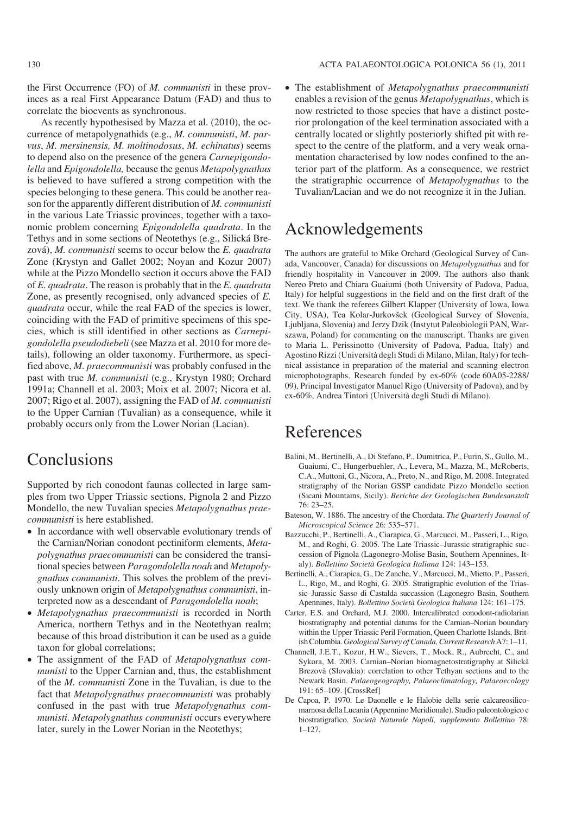the First Occurrence (FO) of *M. communisti* in these prov− inces as a real First Appearance Datum (FAD) and thus to correlate the bioevents as synchronous.

As recently hypothesised by Mazza et al. (2010), the oc− currence of metapolygnathids (e.g., *M. communisti*, *M. par− vus*, *M. mersinensis, M. moltinodosus*, *M. echinatus*) seems to depend also on the presence of the genera *Carnepigondo− lella* and *Epigondolella,* because the genus *Metapolygnathus* is believed to have suffered a strong competition with the species belonging to these genera. This could be another rea son for the apparently different distribution of *M. communisti* in the various Late Triassic provinces, together with a taxo− nomic problem concerning *Epigondolella quadrata*. In the Tethys and in some sections of Neotethys (e.g., Silická Bre− zová), *M. communisti* seems to occur below the *E. quadrata* Zone (Krystyn and Gallet 2002; Noyan and Kozur 2007) while at the Pizzo Mondello section it occurs above the FAD of *E. quadrata*. The reason is probably that in the *E. quadrata* Zone, as presently recognised, only advanced species of *E. quadrata* occur, while the real FAD of the species is lower, coinciding with the FAD of primitive specimens of this spe− cies, which is still identified in other sections as *Carnepi− gondolella pseudodiebeli* (see Mazza et al. 2010 for more de− tails), following an older taxonomy. Furthermore, as speci− fied above, *M. praecommunisti* was probably confused in the past with true *M. communisti* (e.g., Krystyn 1980; Orchard 1991a; Channell et al. 2003; Moix et al. 2007; Nicora et al. 2007; Rigo et al. 2007), assigning the FAD of *M. communisti* to the Upper Carnian (Tuvalian) as a consequence, while it probably occurs only from the Lower Norian (Lacian).

### Conclusions

Supported by rich conodont faunas collected in large sam− ples from two Upper Triassic sections, Pignola 2 and Pizzo Mondello, the new Tuvalian species *Metapolygnathus prae− communisti* is here established.

- In accordance with well observable evolutionary trends of the Carnian/Norian conodont pectiniform elements, *Meta− polygnathus praecommunisti* can be considered the transi− tional species between *Paragondolella noah* and *Metapoly− gnathus communisti*. This solves the problem of the previ− ously unknown origin of *Metapolygnathus communisti*, in− terpreted now as a descendant of *Paragondolella noah*;
- *Metapolygnathus praecommunisti* is recorded in North America, northern Tethys and in the Neotethyan realm; because of this broad distribution it can be used as a guide taxon for global correlations;
- The assignment of the FAD of *Metapolygnathus com− munisti* to the Upper Carnian and, thus, the establishment of the *M. communisti* Zone in the Tuvalian, is due to the fact that *Metapolygnathus praecommunisti* was probably confused in the past with true *Metapolygnathus com− munisti*. *Metapolygnathus communisti* occurs everywhere later, surely in the Lower Norian in the Neotethys;

 The establishment of *Metapolygnathus praecommunisti* enables a revision of the genus *Metapolygnathus*, which is now restricted to those species that have a distinct poste− rior prolongation of the keel termination associated with a centrally located or slightly posteriorly shifted pit with re− spect to the centre of the platform, and a very weak ornamentation characterised by low nodes confined to the an− terior part of the platform. As a consequence, we restrict the stratigraphic occurrence of *Metapolygnathus* to the Tuvalian/Lacian and we do not recognize it in the Julian.

## Acknowledgements

The authors are grateful to Mike Orchard (Geological Survey of Can− ada, Vancouver, Canada) for discussions on *Metapolygnathus* and for friendly hospitality in Vancouver in 2009. The authors also thank Nereo Preto and Chiara Guaiumi (both University of Padova, Padua, Italy) for helpful suggestions in the field and on the first draft of the text. We thank the referees Gilbert Klapper (University of Iowa, Iowa City, USA), Tea Kolar−Jurkovšek (Geological Survey of Slovenia, Ljubljana, Slovenia) and Jerzy Dzik (Instytut Paleobiologii PAN, War− szawa, Poland) for commenting on the manuscript. Thanks are given to Maria L. Perissinotto (University of Padova, Padua, Italy) and Agostino Rizzi (Università degli Studi di Milano, Milan, Italy) for tech− nical assistance in preparation of the material and scanning electron microphotographs. Research funded by ex−60% (code 60A05−2288/ 09), Principal Investigator Manuel Rigo (University of Padova), and by ex−60%, Andrea Tintori (Università degli Studi di Milano).

### References

- Balini, M., Bertinelli, A., Di Stefano, P., Dumitrica, P., Furin, S., Gullo, M., Guaiumi, C., Hungerbuehler, A., Levera, M., Mazza, M., McRoberts, C.A., Muttoni, G., Nicora, A., Preto, N., and Rigo, M. 2008. Integrated stratigraphy of the Norian GSSP candidate Pizzo Mondello section (Sicani Mountains, Sicily). *Berichte der Geologischen Bundesanstalt* 76: 23–25.
- Bateson, W. 1886. The ancestry of the Chordata. *The Quarterly Journal of Microscopical Science* 26: 535–571.
- Bazzucchi, P., Bertinelli, A., Ciarapica, G., Marcucci, M., Passeri, L., Rigo, M., and Roghi, G. 2005. The Late Triassic–Jurassic stratigraphic suc− cession of Pignola (Lagonegro−Molise Basin, Southern Apennines, It− aly). *Bollettino Società Geologica Italiana* 124: 143–153.
- Bertinelli, A., Ciarapica, G., De Zanche, V., Marcucci, M., Mietto, P., Passeri, L., Rigo, M., and Roghi, G. 2005. Stratigraphic evolution of the Trias− sic–Jurassic Sasso di Castalda succassion (Lagonegro Basin, Southern Apennines, Italy). *Bollettino Società Geologica Italiana* 124: 161–175.
- Carter, E.S. and Orchard, M.J. 2000. Intercalibrated conodont−radiolarian biostratigraphy and potential datums for the Carnian–Norian boundary within the Upper Triassic Peril Formation, Queen Charlotte Islands, Brit− ish Columbia.*Geological Survey of Canada, Current Research*A7: 1–11.
- Channell, J.E.T., Kozur, H.W., Sievers, T., Mock, R., Aubrecht, C., and Sykora, M. 2003. Carnian–Norian biomagnetostratigraphy at Silickà Brezovà (Slovakia): correlation to other Tethyan sections and to the Newark Basin. *Palaeogeography, Palaeoclimatology, Palaeoecology* 191: 65–109. [[CrossRef\]](http://dx.doi.org/10.1016/S0031-0182(02)006545)
- De Capoa, P. 1970. Le Daonelle e le Halobie della serie calcareosilico− marnosa della Lucania (Appennino Meridionale). Studio paleontologico e biostratigrafico. *Società Naturale Napoli, supplemento Bollettino* 78: 1–127.